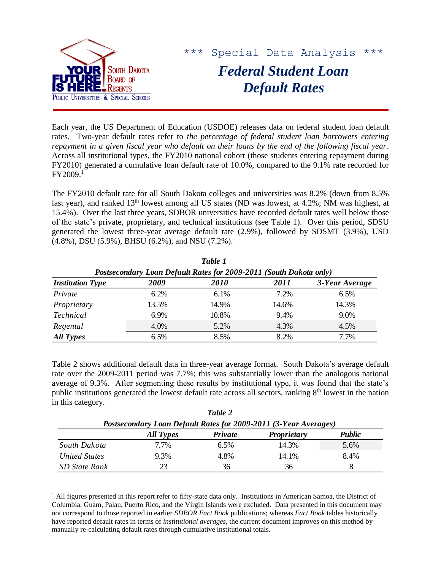

 $\overline{a}$ 

\*\*\* Special Data Analysis \*\*\*

*Federal Student Loan Default Rates*

Each year, the US Department of Education (USDOE) releases data on federal student loan default rates. Two-year default rates refer to *the percentage of federal student loan borrowers entering repayment in a given fiscal year who default on their loans by the end of the following fiscal year*. Across all institutional types, the FY2010 national cohort (those students entering repayment during FY2010) generated a cumulative loan default rate of 10.0%, compared to the 9.1% rate recorded for FY2009. 1

The FY2010 default rate for all South Dakota colleges and universities was 8.2% (down from 8.5% last year), and ranked 13<sup>th</sup> lowest among all US states (ND was lowest, at 4.2%; NM was highest, at 15.4%). Over the last three years, SDBOR universities have recorded default rates well below those of the state's private, proprietary, and technical institutions (see Table 1). Over this period, SDSU generated the lowest three-year average default rate (2.9%), followed by SDSMT (3.9%), USD (4.8%), DSU (5.9%), BHSU (6.2%), and NSU (7.2%).

| Table 1                                                            |         |             |       |                |  |  |  |
|--------------------------------------------------------------------|---------|-------------|-------|----------------|--|--|--|
| Postsecondary Loan Default Rates for 2009-2011 (South Dakota only) |         |             |       |                |  |  |  |
| <b>Institution Type</b>                                            | 2009    | <i>2010</i> | 2011  | 3-Year Average |  |  |  |
| Private                                                            | 6.2%    | 6.1%        | 7.2%  | 6.5%           |  |  |  |
| Proprietary                                                        | 13.5%   | 14.9%       | 14.6% | 14.3%          |  |  |  |
| <b>Technical</b>                                                   | $6.9\%$ | 10.8%       | 9.4%  | 9.0%           |  |  |  |
| Regental                                                           | 4.0%    | 5.2%        | 4.3%  | 4.5%           |  |  |  |
| All Types                                                          | 6.5%    | 8.5%        | 8.2%  | 7.7%           |  |  |  |

Table 2 shows additional default data in three-year average format. South Dakota's average default rate over the 2009-2011 period was 7.7%; this was substantially lower than the analogous national average of 9.3%. After segmenting these results by institutional type, it was found that the state's public institutions generated the lowest default rate across all sectors, ranking 8<sup>th</sup> lowest in the nation in this category.

| Postsecondary Loan Default Rates for 2009-2011 (3-Year Averages) |           |                |                    |        |  |  |
|------------------------------------------------------------------|-----------|----------------|--------------------|--------|--|--|
|                                                                  | All Types | <b>Private</b> | <b>Proprietary</b> | Public |  |  |
| South Dakota                                                     | 7.7%      | $6.5\%$        | 14.3%              | 5.6%   |  |  |
| <b>United States</b>                                             | 9.3%      | 4.8%           | 14.1%              | 8.4%   |  |  |
| SD State Rank                                                    | 23        | 36             | 36                 |        |  |  |

*Table 2*

 $<sup>1</sup>$  All figures presented in this report refer to fifty-state data only. Institutions in American Samoa, the District of</sup> Columbia, Guam, Palau, Puerto Rico, and the Virgin Islands were excluded. Data presented in this document may not correspond to those reported in earlier *SDBOR Fact Book* publications; whereas *Fact Book* tables historically have reported default rates in terms of *institutional averages*, the current document improves on this method by manually re-calculating default rates through cumulative institutional totals.